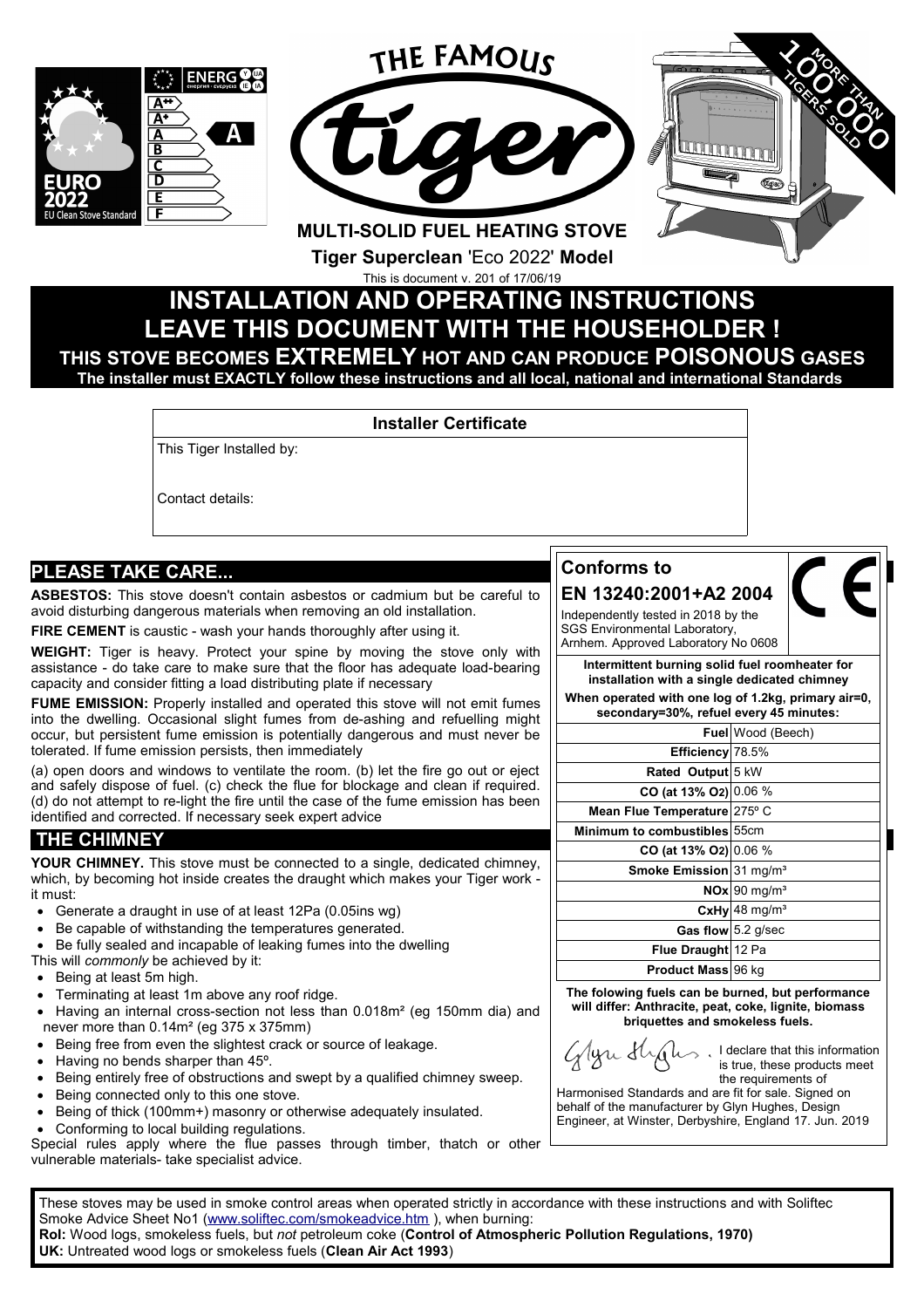

# **LEAVE THIS DOCUMENT WITH THE HOUSEHOLDER ! THIS STOVE BECOMES EXTREMELY HOT AND CAN PRODUCE POISONOUS GASES The installer must EXACTLY follow these instructions and all local, national and international Standards**

#### **Installer Certificate**

This Tiger Installed by:

Contact details:

# **PLEASE TAKE CARE...**

**ASBESTOS:** This stove doesn't contain asbestos or cadmium but be careful to avoid disturbing dangerous materials when removing an old installation.

**FIRE CEMENT** is caustic - wash your hands thoroughly after using it.

**WEIGHT:** Tiger is heavy. Protect your spine by moving the stove only with assistance - do take care to make sure that the floor has adequate load-bearing capacity and consider fitting a load distributing plate if necessary

**FUME EMISSION:** Properly installed and operated this stove will not emit fumes into the dwelling. Occasional slight fumes from de-ashing and refuelling might occur, but persistent fume emission is potentially dangerous and must never be tolerated. If fume emission persists, then immediately

(a) open doors and windows to ventilate the room. (b) let the fire go out or eject and safely dispose of fuel. (c) check the flue for blockage and clean if required. (d) do not attempt to re-light the fire until the case of the fume emission has been identified and corrected. If necessary seek expert advice

# **THE CHIMNEY**

**YOUR CHIMNEY.** This stove must be connected to a single, dedicated chimney, which, by becoming hot inside creates the draught which makes your Tiger work it must:

- Generate a draught in use of at least 12Pa (0.05ins wg)
- Be capable of withstanding the temperatures generated.
- Be fully sealed and incapable of leaking fumes into the dwelling

This will *commonly* be achieved by it:

- Being at least 5m high.
- Terminating at least 1m above any roof ridge.
- Having an internal cross-section not less than 0.018m<sup>2</sup> (eg 150mm dia) and never more than 0.14m² (eg 375 x 375mm)
- Being free from even the slightest crack or source of leakage.
- Having no bends sharper than 45°.
- Being entirely free of obstructions and swept by a qualified chimney sweep.
- Being connected only to this one stove.
- Being of thick (100mm+) masonry or otherwise adequately insulated.
- Conforming to local building regulations.

Special rules apply where the flue passes through timber, thatch or other vulnerable materials- take specialist advice.

These stoves may be used in smoke control areas when operated strictly in accordance with these instructions and with Soliftec Smoke Advice Sheet No1 (www.soliftec.com/smokeadvice.htm), when burning: **RoI:** Wood logs, smokeless fuels, but *not* petroleum coke (**Control of Atmospheric Pollution Regulations, 1970) UK:** Untreated wood logs or smokeless fuels (**Clean Air Act 1993**)

### **Conforms to**

# **EN 13240:2001+A2 2004**

Independently tested in 2018 by the SGS Environmental Laboratory, Arnhem. Approved Laboratory No 0608

**Intermittent burning solid fuel roomheater for installation with a single dedicated chimney**

**When operated with one log of 1.2kg, primary air=0, secondary=30%, refuel every 45 minutes:**

**Fuel** Wood (Beech)

**Efficiency** 78.5%

**Rated Output** 5 kW **CO (at 13% O2)** 0.06 %

**Mean Flue Temperature** 275° C

**Minimum to combustibles** 55cm

**CO (at 13% O2)** 0.06 %

**Smoke Emission** 31 mg/m<sup>3</sup> **NOx** 90 mg/m<sup>3</sup> **CxHy** 48 mg/m³

Gas flow 5.2 g/sec **Flue Draught** 12 Pa **Product Mass 96 kg** 

**The folowing fuels can be burned, but performance will differ: Anthracite, peat, coke, lignite, biomass briquettes and smokeless fuels.**

Glyn Slydn

I declare that this information is true, these products meet the requirements of

Harmonised Standards and are fit for sale. Signed on behalf of the manufacturer by Glyn Hughes, Design Engineer, at Winster, Derbyshire, England 17. Jun. 2019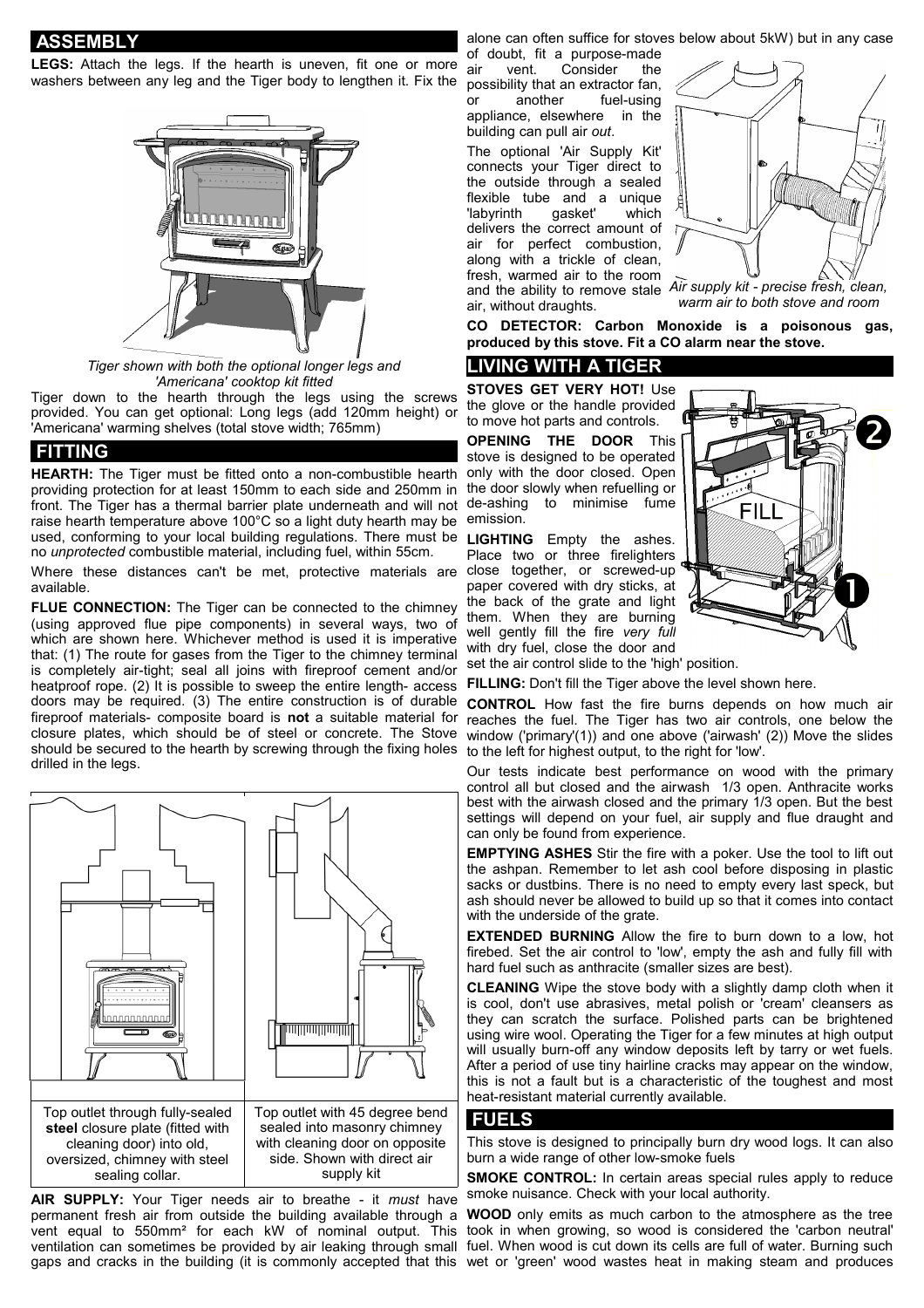**ASSEMBLY**

**LEGS:** Attach the legs. If the hearth is uneven, fit one or more washers between any leg and the Tiger body to lengthen it. Fix the



*Tiger shown with both the optional longer legs and 'Americana' cooktop kit fitted*

Tiger down to the hearth through the legs using the screws provided. You can get optional: Long legs (add 120mm height) or 'Americana' warming shelves (total stove width; 765mm)

#### **FITTING**

**HEARTH:** The Tiger must be fitted onto a non-combustible hearth providing protection for at least 150mm to each side and 250mm in front. The Tiger has a thermal barrier plate underneath and will not raise hearth temperature above 100°C so a light duty hearth may be emission. used, conforming to your local building regulations. There must be **LIGHTING** Empty the ashes. no *unprotected* combustible material, including fuel, within 55cm.

Where these distances can't be met, protective materials are available.

**FLUE CONNECTION:** The Tiger can be connected to the chimney (using approved flue pipe components) in several ways, two of which are shown here. Whichever method is used it is imperative that: (1) The route for gases from the Tiger to the chimney terminal is completely air-tight; seal all joins with fireproof cement and/or heatproof rope. (2) It is possible to sweep the entire length- access doors may be required. (3) The entire construction is of durable fireproof materials- composite board is **not** a suitable material for closure plates, which should be of steel or concrete. The Stove should be secured to the hearth by screwing through the fixing holes drilled in the legs.



**AIR SUPPLY:** Your Tiger needs air to breathe - it *must* have permanent fresh air from outside the building available through a **WOOD** only emits as much carbon to the atmosphere as the tree vent equal to 550mm<sup>2</sup> for each kW of nominal output. This took in when growing, so wood is considered the 'carbon neutral' ventilation can sometimes be provided by air leaking through small fuel. When wood is cut down its cells are full of water. Burning such gaps and cracks in the building (it is commonly accepted that this wet or 'green' wood wastes heat in making steam and produces

alone can often suffice for stoves below about 5kW) but in any case

of doubt, fit a purpose-made air vent. Consider the possibility that an extractor fan, or another fuel-using appliance, elsewhere in the building can pull air *out*.

The optional 'Air Supply Kit' connects your Tiger direct to the outside through a sealed flexible tube and a unique<br>"labyrinth gasket" which 'labyrinth gasket' which delivers the correct amount of air for perfect combustion, along with a trickle of clean, fresh, warmed air to the room air, without draughts.



and the ability to remove stale *Air supply kit - precise fresh, clean, warm air to both stove and room*

**CO DETECTOR: Carbon Monoxide is a poisonous gas, produced by this stove. Fit a CO alarm near the stove.**

#### **LIVING WITH A TIGER**

**STOVES GET VERY HOT!** Use the glove or the handle provided to move hot parts and controls.

**OPENING THE DOOR** This stove is designed to be operated only with the door closed. Open the door slowly when refuelling or de-ashing to minimise fume

Place two or three firelighters close together, or screwed-up paper covered with dry sticks, at the back of the grate and light them. When they are burning well gently fill the fire *very full* with dry fuel, close the door and



set the air control slide to the 'high' position.

**FILLING:** Don't fill the Tiger above the level shown here.

**CONTROL** How fast the fire burns depends on how much air reaches the fuel. The Tiger has two air controls, one below the window ('primary'(1)) and one above ('airwash' (2)) Move the slides to the left for highest output, to the right for 'low'.

Our tests indicate best performance on wood with the primary control all but closed and the airwash 1/3 open. Anthracite works best with the airwash closed and the primary 1/3 open. But the best settings will depend on your fuel, air supply and flue draught and can only be found from experience.

**EMPTYING ASHES** Stir the fire with a poker. Use the tool to lift out the ashpan. Remember to let ash cool before disposing in plastic sacks or dustbins. There is no need to empty every last speck, but ash should never be allowed to build up so that it comes into contact with the underside of the grate.

**EXTENDED BURNING** Allow the fire to burn down to a low, hot firebed. Set the air control to 'low', empty the ash and fully fill with hard fuel such as anthracite (smaller sizes are best).

**CLEANING** Wipe the stove body with a slightly damp cloth when it is cool, don't use abrasives, metal polish or 'cream' cleansers as they can scratch the surface. Polished parts can be brightened using wire wool. Operating the Tiger for a few minutes at high output will usually burn-off any window deposits left by tarry or wet fuels. After a period of use tiny hairline cracks may appear on the window, this is not a fault but is a characteristic of the toughest and most heat-resistant material currently available.

#### **FUELS**

This stove is designed to principally burn dry wood logs. It can also burn a wide range of other low-smoke fuels

**SMOKE CONTROL:** In certain areas special rules apply to reduce smoke nuisance. Check with your local authority.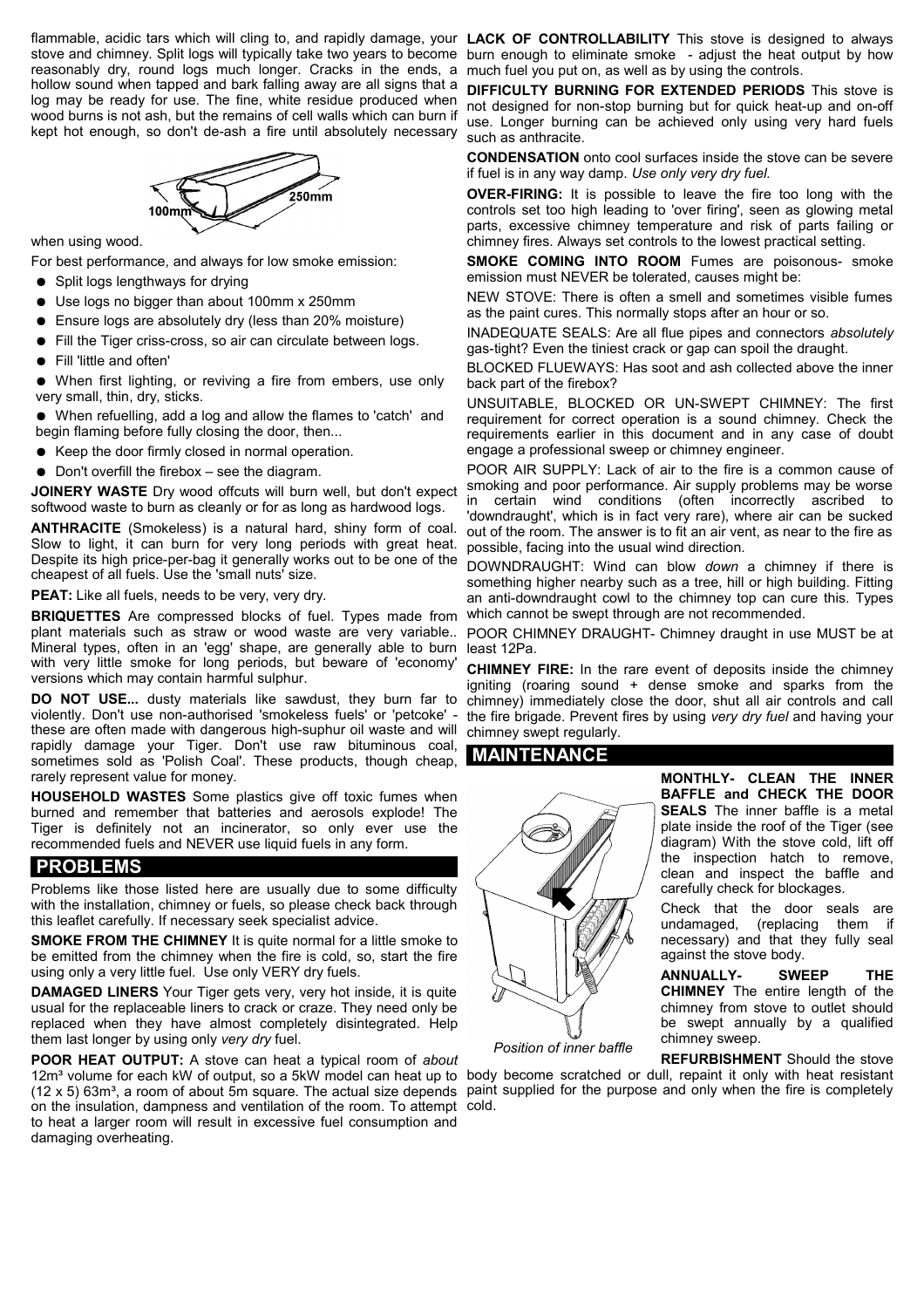flammable, acidic tars which will cling to, and rapidly damage, your LACK OF CONTROLLABILITY This stove is designed to always stove and chimney. Split logs will typically take two years to become burn enough to eliminate smoke - adjust the heat output by how reasonably dry, round logs much longer. Cracks in the ends, a much fuel you put on, as well as by using the controls. hollow sound when tapped and bark falling away are all signs that a log may be ready for use. The fine, white residue produced when wood burns is not ash, but the remains of cell walls which can burn if kept hot enough, so don't de-ash a fire until absolutely necessary



when using wood.

For best performance, and always for low smoke emission:

- Split logs lengthways for drying
- Use logs no bigger than about 100mm x 250mm
- Ensure logs are absolutely dry (less than 20% moisture)
- Fill the Tiger criss-cross, so air can circulate between logs.
- Fill 'little and often'

● When first lighting, or reviving a fire from embers, use only very small, thin, dry, sticks.

● When refuelling, add a log and allow the flames to 'catch' and begin flaming before fully closing the door, then...

- Keep the door firmly closed in normal operation.
- Don't overfill the firebox see the diagram.

**JOINERY WASTE** Dry wood offcuts will burn well, but don't expect softwood waste to burn as cleanly or for as long as hardwood logs.

**ANTHRACITE** (Smokeless) is a natural hard, shiny form of coal. Slow to light, it can burn for very long periods with great heat. Despite its high price-per-bag it generally works out to be one of the cheapest of all fuels. Use the 'small nuts' size.

**PEAT:** Like all fuels, needs to be very, very dry.

**BRIQUETTES** Are compressed blocks of fuel. Types made from plant materials such as straw or wood waste are very variable.. Mineral types, often in an 'egg' shape, are generally able to burn with very little smoke for long periods, but beware of 'economy' versions which may contain harmful sulphur.

**DO NOT USE...** dusty materials like sawdust, they burn far to violently. Don't use non-authorised 'smokeless fuels' or 'petcoke' these are often made with dangerous high-suphur oil waste and will rapidly damage your Tiger. Don't use raw bituminous coal, sometimes sold as 'Polish Coal'. These products, though cheap, rarely represent value for money.

**HOUSEHOLD WASTES** Some plastics give off toxic fumes when burned and remember that batteries and aerosols explode! The Tiger is definitely not an incinerator, so only ever use the recommended fuels and NEVER use liquid fuels in any form.

#### **PROBLEMS**

Problems like those listed here are usually due to some difficulty with the installation, chimney or fuels, so please check back through this leaflet carefully. If necessary seek specialist advice.

**SMOKE FROM THE CHIMNEY** It is quite normal for a little smoke to be emitted from the chimney when the fire is cold, so, start the fire using only a very little fuel. Use only VERY dry fuels.

**DAMAGED LINERS** Your Tiger gets very, very hot inside, it is quite usual for the replaceable liners to crack or craze. They need only be replaced when they have almost completely disintegrated. Help them last longer by using only *very dry* fuel.

**POOR HEAT OUTPUT:** A stove can heat a typical room of *about* 12m<sup>3</sup> volume for each kW of output, so a 5kW model can heat up to body become scratched or dull, repaint it only with heat resistant  $(12 \times 5)$  63m<sup>3</sup>, a room of about 5m square. The actual size depends paint supplied for the purpose and only when the fire is completely on the insulation, dampness and ventilation of the room. To attempt cold. to heat a larger room will result in excessive fuel consumption and damaging overheating.

**DIFFICULTY BURNING FOR EXTENDED PERIODS** This stove is not designed for non-stop burning but for quick heat-up and on-off use. Longer burning can be achieved only using very hard fuels such as anthracite.

**CONDENSATION** onto cool surfaces inside the stove can be severe if fuel is in any way damp. *Use only very dry fuel.*

**OVER-FIRING:** It is possible to leave the fire too long with the controls set too high leading to 'over firing', seen as glowing metal parts, excessive chimney temperature and risk of parts failing or chimney fires. Always set controls to the lowest practical setting.

**SMOKE COMING INTO ROOM Fumes are poisonous- smoke** emission must NEVER be tolerated, causes might be:

NEW STOVE: There is often a smell and sometimes visible fumes as the paint cures. This normally stops after an hour or so.

INADEQUATE SEALS: Are all flue pipes and connectors *absolutely* gas-tight? Even the tiniest crack or gap can spoil the draught.

BLOCKED FLUEWAYS: Has soot and ash collected above the inner back part of the firebox?

UNSUITABLE, BLOCKED OR UN-SWEPT CHIMNEY: The first requirement for correct operation is a sound chimney. Check the requirements earlier in this document and in any case of doubt engage a professional sweep or chimney engineer.

POOR AIR SUPPLY: Lack of air to the fire is a common cause of smoking and poor performance. Air supply problems may be worse in certain wind conditions (often incorrectly ascribed to 'downdraught', which is in fact very rare), where air can be sucked out of the room. The answer is to fit an air vent, as near to the fire as possible, facing into the usual wind direction.

DOWNDRAUGHT: Wind can blow *down* a chimney if there is something higher nearby such as a tree, hill or high building. Fitting an anti-downdraught cowl to the chimney top can cure this. Types which cannot be swept through are not recommended.

POOR CHIMNEY DRAUGHT- Chimney draught in use MUST be at least 12Pa.

**CHIMNEY FIRE:** In the rare event of deposits inside the chimney igniting (roaring sound + dense smoke and sparks from the chimney) immediately close the door, shut all air controls and call the fire brigade. Prevent fires by using *very dry fuel* and having your chimney swept regularly.

#### **MAINTENANCE**



**MONTHLY- CLEAN THE INNER BAFFLE and CHECK THE DOOR SEALS** The inner baffle is a metal plate inside the roof of the Tiger (see diagram) With the stove cold, lift off the inspection hatch to remove, clean and inspect the baffle and

carefully check for blockages.

Check that the door seals are undamaged, (replacing them if necessary) and that they fully seal against the stove body.

**ANNUALLY- SWEEP THE CHIMNEY** The entire length of the chimney from stove to outlet should be swept annually by a qualified chimney sweep.

*Position of inner baffle*

**REFURBISHMENT** Should the stove